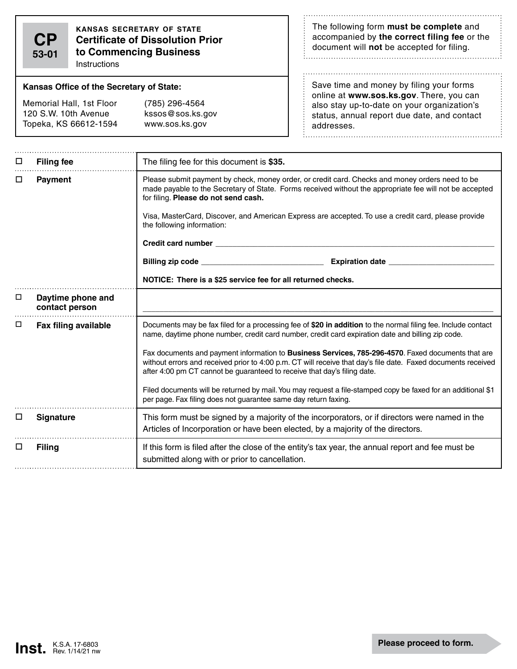**CP 53-01** **kansas secretary of state Certificate of Dissolution Prior to Commencing Business**

**Instructions** 

## **Kansas Office of the Secretary of State:**

Memorial Hall, 1st Floor (785) 296-4564 120 S.W. 10th Avenue kssos@sos.ks.gov Topeka, KS 66612-1594 www.sos.ks.gov

The following form **must be complete** and accompanied by **the correct filing fee** or the document will **not** be accepted for filing. 

 $\therefore$ 

Save time and money by filing your forms online at **www.sos.ks.gov**. There, you can also stay up-to-date on your organization's status, annual report due date, and contact addresses.

| □ | <b>Filing fee</b>                   | The filing fee for this document is \$35.                                                                                                                                                                                                                                                                                                                                                                                                                                                                                                                                                                                                                                                                |  |  |
|---|-------------------------------------|----------------------------------------------------------------------------------------------------------------------------------------------------------------------------------------------------------------------------------------------------------------------------------------------------------------------------------------------------------------------------------------------------------------------------------------------------------------------------------------------------------------------------------------------------------------------------------------------------------------------------------------------------------------------------------------------------------|--|--|
| □ | Payment                             | Please submit payment by check, money order, or credit card. Checks and money orders need to be<br>made payable to the Secretary of State. Forms received without the appropriate fee will not be accepted<br>for filing. Please do not send cash.<br>Visa, MasterCard, Discover, and American Express are accepted. To use a credit card, please provide<br>the following information:<br>NOTICE: There is a \$25 service fee for all returned checks.                                                                                                                                                                                                                                                  |  |  |
| □ | Daytime phone and<br>contact person |                                                                                                                                                                                                                                                                                                                                                                                                                                                                                                                                                                                                                                                                                                          |  |  |
| □ | <b>Fax filing available</b>         | Documents may be fax filed for a processing fee of \$20 in addition to the normal filing fee. Include contact<br>name, daytime phone number, credit card number, credit card expiration date and billing zip code.<br>Fax documents and payment information to Business Services, 785-296-4570. Faxed documents that are<br>without errors and received prior to 4:00 p.m. CT will receive that day's file date. Faxed documents received<br>after 4:00 pm CT cannot be guaranteed to receive that day's filing date.<br>Filed documents will be returned by mail. You may request a file-stamped copy be faxed for an additional \$1<br>per page. Fax filing does not guarantee same day return faxing. |  |  |
| □ | <b>Signature</b>                    | This form must be signed by a majority of the incorporators, or if directors were named in the<br>Articles of Incorporation or have been elected, by a majority of the directors.                                                                                                                                                                                                                                                                                                                                                                                                                                                                                                                        |  |  |
| □ | <b>Filing</b>                       | If this form is filed after the close of the entity's tax year, the annual report and fee must be<br>submitted along with or prior to cancellation.                                                                                                                                                                                                                                                                                                                                                                                                                                                                                                                                                      |  |  |